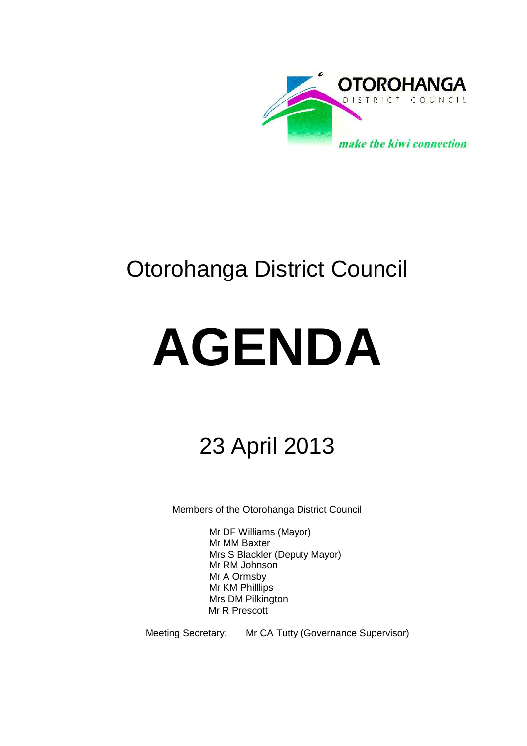

# Otorohanga District Council

# **AGENDA**

# 23 April 2013

Members of the Otorohanga District Council

Mr DF Williams (Mayor) Mr MM Baxter Mrs S Blackler (Deputy Mayor) Mr RM Johnson Mr A Ormsby Mr KM Philllips Mrs DM Pilkington Mr R Prescott

Meeting Secretary: Mr CA Tutty (Governance Supervisor)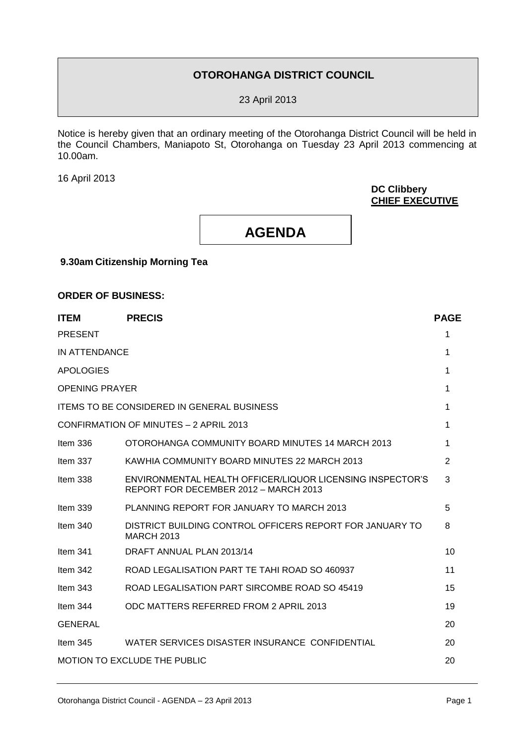# **OTOROHANGA DISTRICT COUNCIL**

23 April 2013

Notice is hereby given that an ordinary meeting of the Otorohanga District Council will be held in the Council Chambers, Maniapoto St, Otorohanga on Tuesday 23 April 2013 commencing at 10.00am.

16 April 2013

**DC Clibbery CHIEF EXECUTIVE**



**9.30am Citizenship Morning Tea**

#### **ORDER OF BUSINESS:**

| <b>ITEM</b>                         | <b>PRECIS</b>                                                                                      | <b>PAGE</b>    |  |  |  |
|-------------------------------------|----------------------------------------------------------------------------------------------------|----------------|--|--|--|
| <b>PRESENT</b>                      |                                                                                                    | 1              |  |  |  |
| IN ATTENDANCE                       |                                                                                                    | 1              |  |  |  |
| <b>APOLOGIES</b>                    |                                                                                                    | 1              |  |  |  |
| <b>OPENING PRAYER</b>               |                                                                                                    | 1              |  |  |  |
|                                     | <b>ITEMS TO BE CONSIDERED IN GENERAL BUSINESS</b>                                                  |                |  |  |  |
|                                     | CONFIRMATION OF MINUTES - 2 APRIL 2013                                                             | 1              |  |  |  |
| Item $336$                          | OTOROHANGA COMMUNITY BOARD MINUTES 14 MARCH 2013                                                   | 1              |  |  |  |
| Item $337$                          | KAWHIA COMMUNITY BOARD MINUTES 22 MARCH 2013                                                       | $\overline{2}$ |  |  |  |
| Item $338$                          | ENVIRONMENTAL HEALTH OFFICER/LIQUOR LICENSING INSPECTOR'S<br>REPORT FOR DECEMBER 2012 - MARCH 2013 | 3              |  |  |  |
| Item $339$                          | PLANNING REPORT FOR JANUARY TO MARCH 2013                                                          | 5              |  |  |  |
| Item $340$                          | DISTRICT BUILDING CONTROL OFFICERS REPORT FOR JANUARY TO<br><b>MARCH 2013</b>                      | 8              |  |  |  |
| Item $341$                          | DRAFT ANNUAL PLAN 2013/14                                                                          | 10             |  |  |  |
| Item $342$                          | ROAD LEGALISATION PART TE TAHI ROAD SO 460937                                                      | 11             |  |  |  |
| Item $343$                          | ROAD LEGALISATION PART SIRCOMBE ROAD SO 45419                                                      | 15             |  |  |  |
| Item 344                            | ODC MATTERS REFERRED FROM 2 APRIL 2013                                                             | 19             |  |  |  |
| <b>GENERAL</b>                      |                                                                                                    | 20             |  |  |  |
| Item $345$                          | WATER SERVICES DISASTER INSURANCE CONFIDENTIAL                                                     | 20             |  |  |  |
| <b>MOTION TO EXCLUDE THE PUBLIC</b> |                                                                                                    |                |  |  |  |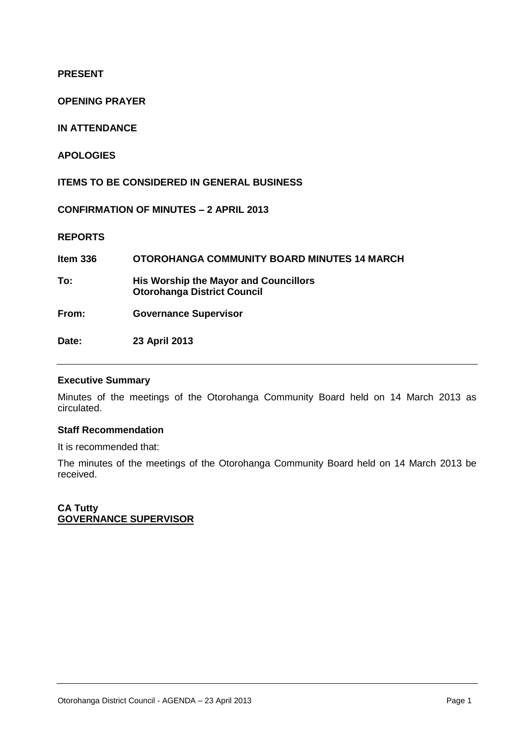**PRESENT**

**OPENING PRAYER**

**IN ATTENDANCE**

**APOLOGIES**

**ITEMS TO BE CONSIDERED IN GENERAL BUSINESS**

**CONFIRMATION OF MINUTES – 2 APRIL 2013**

**REPORTS**

**Item 336 OTOROHANGA COMMUNITY BOARD MINUTES 14 MARCH To: His Worship the Mayor and Councillors Otorohanga District Council From: Governance Supervisor Date: 23 April 2013** 

#### **Executive Summary**

Minutes of the meetings of the Otorohanga Community Board held on 14 March 2013 as circulated.

#### **Staff Recommendation**

It is recommended that:

The minutes of the meetings of the Otorohanga Community Board held on 14 March 2013 be received.

**CA Tutty GOVERNANCE SUPERVISOR**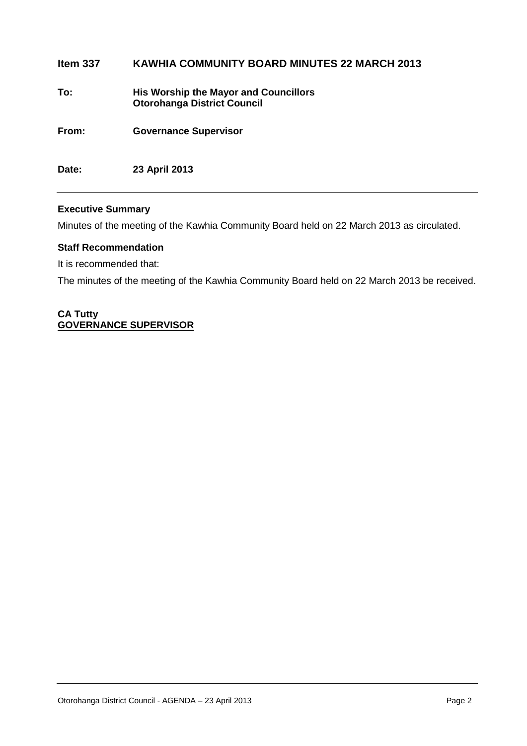# **Item 337 KAWHIA COMMUNITY BOARD MINUTES 22 MARCH 2013 To: His Worship the Mayor and Councillors Otorohanga District Council From: Governance Supervisor Date: 23 April 2013**

#### **Executive Summary**

Minutes of the meeting of the Kawhia Community Board held on 22 March 2013 as circulated.

#### **Staff Recommendation**

It is recommended that:

The minutes of the meeting of the Kawhia Community Board held on 22 March 2013 be received.

#### **CA Tutty GOVERNANCE SUPERVISOR**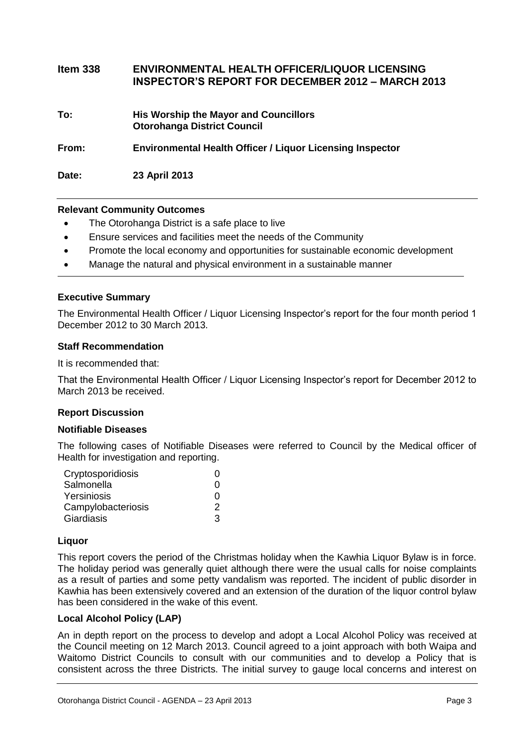| Item $338$ | <b>ENVIRONMENTAL HEALTH OFFICER/LIQUOR LICENSING</b><br><b>INSPECTOR'S REPORT FOR DECEMBER 2012 - MARCH 2013</b> |
|------------|------------------------------------------------------------------------------------------------------------------|
| To:        | <b>His Worship the Mayor and Councillors</b><br><b>Otorohanga District Council</b>                               |
| From:      | <b>Environmental Health Officer / Liquor Licensing Inspector</b>                                                 |
| Date:      | 23 April 2013                                                                                                    |

#### **Relevant Community Outcomes**

- The Otorohanga District is a safe place to live
- Ensure services and facilities meet the needs of the Community
- Promote the local economy and opportunities for sustainable economic development
- Manage the natural and physical environment in a sustainable manner

#### **Executive Summary**

The Environmental Health Officer / Liquor Licensing Inspector's report for the four month period 1 December 2012 to 30 March 2013.

#### **Staff Recommendation**

It is recommended that:

That the Environmental Health Officer / Liquor Licensing Inspector's report for December 2012 to March 2013 be received.

#### **Report Discussion**

#### **Notifiable Diseases**

The following cases of Notifiable Diseases were referred to Council by the Medical officer of Health for investigation and reporting.

| Cryptosporidiosis  | 0 |
|--------------------|---|
| Salmonella         | O |
| Yersiniosis        | O |
| Campylobacteriosis | 2 |
| Giardiasis         | З |

#### **Liquor**

This report covers the period of the Christmas holiday when the Kawhia Liquor Bylaw is in force. The holiday period was generally quiet although there were the usual calls for noise complaints as a result of parties and some petty vandalism was reported. The incident of public disorder in Kawhia has been extensively covered and an extension of the duration of the liquor control bylaw has been considered in the wake of this event.

#### **Local Alcohol Policy (LAP)**

An in depth report on the process to develop and adopt a Local Alcohol Policy was received at the Council meeting on 12 March 2013. Council agreed to a joint approach with both Waipa and Waitomo District Councils to consult with our communities and to develop a Policy that is consistent across the three Districts. The initial survey to gauge local concerns and interest on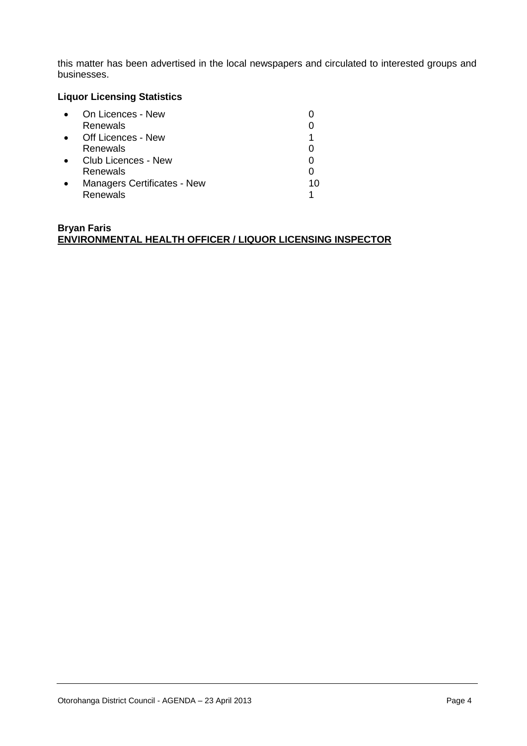this matter has been advertised in the local newspapers and circulated to interested groups and businesses.

### **Liquor Licensing Statistics**

| On Licences - New                  |    |
|------------------------------------|----|
| Renewals                           |    |
| Off Licences - New                 |    |
| Renewals                           |    |
| Club Licences - New                |    |
| Renewals                           |    |
| <b>Managers Certificates - New</b> | 10 |
| Renewals                           |    |

#### **Bryan Faris ENVIRONMENTAL HEALTH OFFICER / LIQUOR LICENSING INSPECTOR**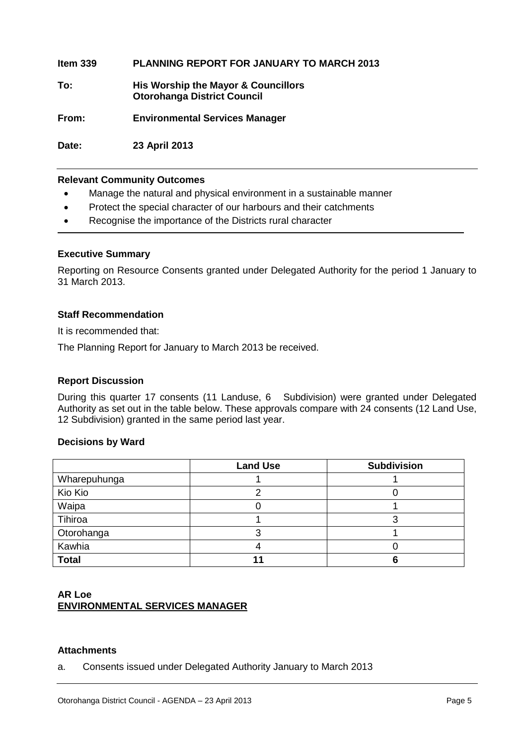**Item 339 PLANNING REPORT FOR JANUARY TO MARCH 2013 To: His Worship the Mayor & Councillors Otorohanga District Council From: Environmental Services Manager**

**Date: 23 April 2013**

#### **Relevant Community Outcomes**

- Manage the natural and physical environment in a sustainable manner
- Protect the special character of our harbours and their catchments
- Recognise the importance of the Districts rural character

#### **Executive Summary**

Reporting on Resource Consents granted under Delegated Authority for the period 1 January to 31 March 2013.

#### **Staff Recommendation**

It is recommended that:

The Planning Report for January to March 2013 be received.

#### **Report Discussion**

During this quarter 17 consents (11 Landuse, 6 Subdivision) were granted under Delegated Authority as set out in the table below. These approvals compare with 24 consents (12 Land Use, 12 Subdivision) granted in the same period last year.

#### **Decisions by Ward**

|              | <b>Land Use</b> | <b>Subdivision</b> |
|--------------|-----------------|--------------------|
| Wharepuhunga |                 |                    |
| Kio Kio      |                 |                    |
| Waipa        |                 |                    |
| Tihiroa      |                 |                    |
| Otorohanga   |                 |                    |
| Kawhia       |                 |                    |
| <b>Total</b> |                 |                    |

#### **AR Loe ENVIRONMENTAL SERVICES MANAGER**

#### **Attachments**

a. Consents issued under Delegated Authority January to March 2013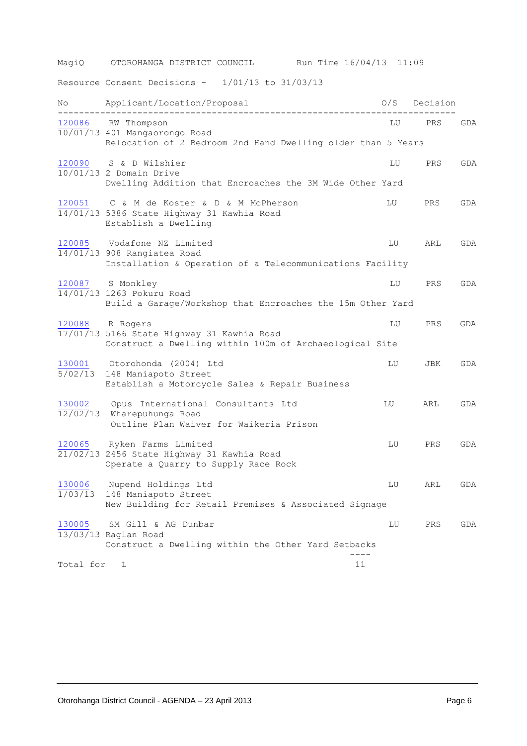| MagiQ              | Run Time 16/04/13 11:09<br>OTOROHANGA DISTRICT COUNCIL                                                              |    |              |     |
|--------------------|---------------------------------------------------------------------------------------------------------------------|----|--------------|-----|
|                    | Resource Consent Decisions - $1/01/13$ to $31/03/13$                                                                |    |              |     |
| No                 | Applicant/Location/Proposal<br>------------------------                                                             |    | 0/S Decision |     |
|                    | 120086 RW Thompson<br>10/01/13 401 Mangaorongo Road<br>Relocation of 2 Bedroom 2nd Hand Dwelling older than 5 Years | LU | PRS          | GDA |
| 120090             | S & D Wilshier<br>10/01/13 2 Domain Drive<br>Dwelling Addition that Encroaches the 3M Wide Other Yard               | LU | PRS          | GDA |
| 120051             | C & M de Koster & D & M McPherson<br>14/01/13 5386 State Highway 31 Kawhia Road<br>Establish a Dwelling             | LU | PRS          | GDA |
| 120085             | Vodafone NZ Limited<br>14/01/13 908 Rangiatea Road<br>Installation & Operation of a Telecommunications Facility     | LU | ARL          | GDA |
|                    | 120087 S Monkley<br>14/01/13 1263 Pokuru Road<br>Build a Garage/Workshop that Encroaches the 15m Other Yard         | LU | PRS          | GDA |
| 120088             | R Rogers<br>17/01/13 5166 State Highway 31 Kawhia Road<br>Construct a Dwelling within 100m of Archaeological Site   | LU | PRS          | GDA |
| 130001<br>5/02/13  | Otorohonda (2004) Ltd<br>148 Maniapoto Street<br>Establish a Motorcycle Sales & Repair Business                     | LU | JBK          | GDA |
| 130002<br>12/02/13 | Opus International Consultants Ltd<br>Wharepuhunga Road<br>Outline Plan Waiver for Waikeria Prison                  | LU | ARL          | GDA |
| 120065             | Ryken Farms Limited<br>$21/02/13$ 2456 State Highway 31 Kawhia Road<br>Operate a Quarry to Supply Race Rock         | LU | PRS          | GDA |
| 130006<br>1/03/13  | Nupend Holdings Ltd<br>148 Maniapoto Street<br>New Building for Retail Premises & Associated Signage                | LU | ARL          | GDA |
| 130005             | SM Gill & AG Dunbar<br>13/03/13 Raglan Road<br>Construct a Dwelling within the Other Yard Setbacks                  | LU | PRS          | GDA |
| Total for          | 11<br>L                                                                                                             |    |              |     |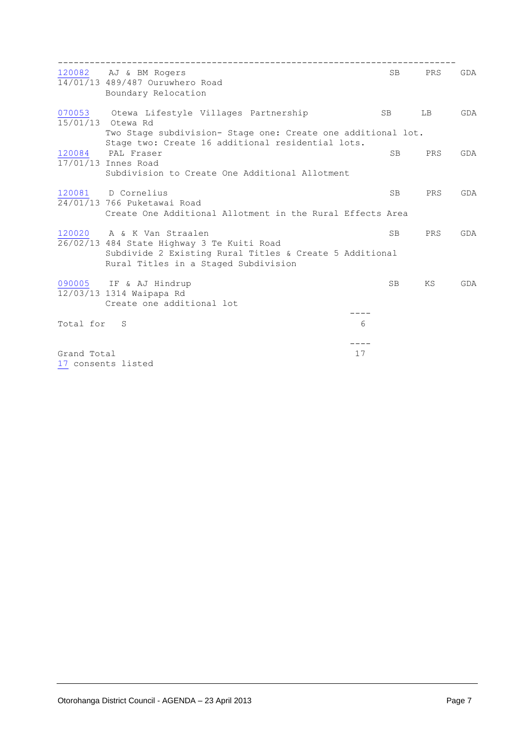|             | 120082 AJ & BM Rogers<br>14/01/13 489/487 Ouruwhero Road<br>Boundary Relocation                                                               | <b>SB</b> | PRS | GDA |
|-------------|-----------------------------------------------------------------------------------------------------------------------------------------------|-----------|-----|-----|
| 070053      | Otewa Lifestyle Villages Partnership<br>15/01/13 Otewa Rd                                                                                     | SB        | LB  | GDA |
|             | Two Stage subdivision- Stage one: Create one additional lot.<br>Stage two: Create 16 additional residential lots.                             |           |     |     |
| 120084      | PAL Fraser<br>17/01/13 Innes Road                                                                                                             | <b>SB</b> | PRS | GDA |
|             | Subdivision to Create One Additional Allotment                                                                                                |           |     |     |
| 120081      | D Cornelius<br>24/01/13 766 Puketawai Road                                                                                                    | <b>SB</b> | PRS | GDA |
|             | Create One Additional Allotment in the Rural Effects Area                                                                                     |           |     |     |
|             | 120020 A & K Van Straalen                                                                                                                     | <b>SB</b> | PRS | GDA |
|             | 26/02/13 484 State Highway 3 Te Kuiti Road<br>Subdivide 2 Existing Rural Titles & Create 5 Additional<br>Rural Titles in a Staged Subdivision |           |     |     |
|             | 090005 IF & AJ Hindrup<br>12/03/13 1314 Waipapa Rd                                                                                            | <b>SB</b> | ΚS  | GDA |
|             | Create one additional lot                                                                                                                     |           |     |     |
|             |                                                                                                                                               |           |     |     |
| Total for   | -S                                                                                                                                            | 6         |     |     |
|             |                                                                                                                                               |           |     |     |
| Grand Total | 17 consents listed                                                                                                                            | 17        |     |     |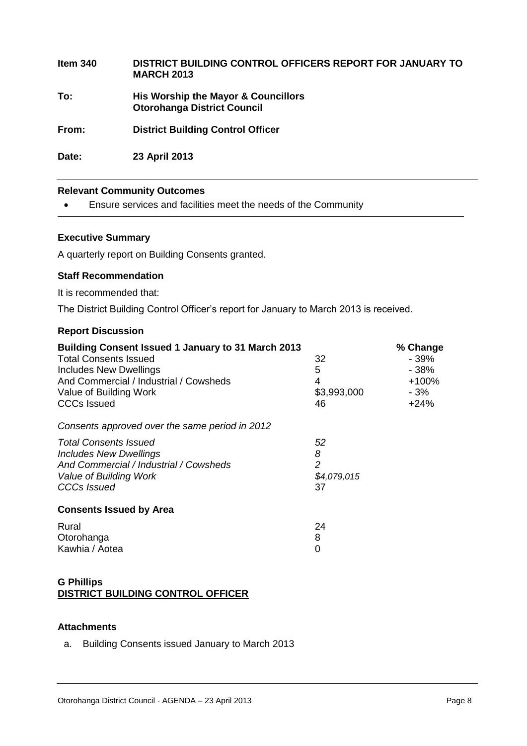| Item $340$ | DISTRICT BUILDING CONTROL OFFICERS REPORT FOR JANUARY TO<br><b>MARCH 2013</b> |
|------------|-------------------------------------------------------------------------------|
| To:        | His Worship the Mayor & Councillors<br><b>Otorohanga District Council</b>     |
| From:      | <b>District Building Control Officer</b>                                      |
| Date:      | 23 April 2013                                                                 |

#### **Relevant Community Outcomes**

Ensure services and facilities meet the needs of the Community

#### **Executive Summary**

A quarterly report on Building Consents granted.

#### **Staff Recommendation**

It is recommended that:

The District Building Control Officer's report for January to March 2013 is received.

#### **Report Discussion**

| <b>Building Consent Issued 1 January to 31 March 2013</b> |                |         |
|-----------------------------------------------------------|----------------|---------|
| <b>Total Consents Issued</b>                              | 32             | - 39%   |
| <b>Includes New Dwellings</b>                             | 5              | $-38%$  |
| And Commercial / Industrial / Cowsheds                    | 4              | $+100%$ |
| Value of Building Work                                    | \$3,993,000    | - 3%    |
| <b>CCCs Issued</b>                                        | 46             | $+24%$  |
| Consents approved over the same period in 2012            |                |         |
| <b>Total Consents Issued</b>                              | 52             |         |
| <b>Includes New Dwellings</b>                             | 8              |         |
| And Commercial / Industrial / Cowsheds                    | $\overline{2}$ |         |
| Value of Building Work                                    | \$4,079,015    |         |
| CCCs Issued                                               | 37             |         |
| <b>Consents Issued by Area</b>                            |                |         |
| Rural                                                     | 24             |         |
| Otorohanga                                                | 8              |         |
| Kawhia / Aotea                                            | 0              |         |
|                                                           |                |         |

#### **G Phillips DISTRICT BUILDING CONTROL OFFICER**

#### **Attachments**

a. Building Consents issued January to March 2013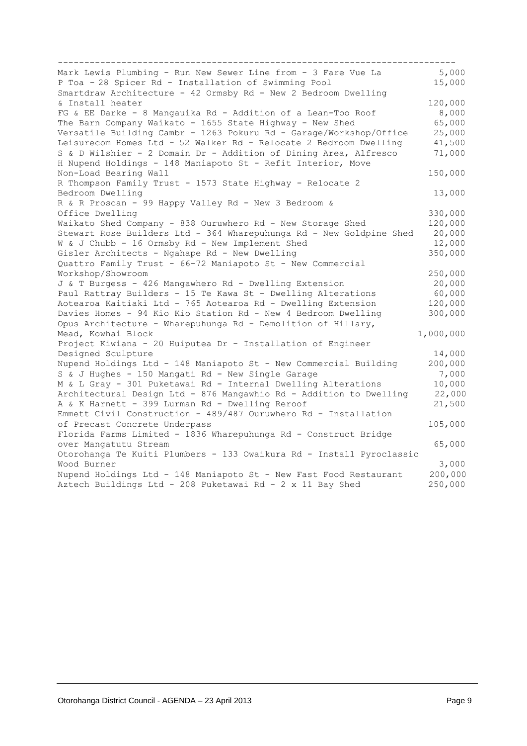| Mark Lewis Plumbing - Run New Sewer Line from - 3 Fare Vue La                      | 5,000     |
|------------------------------------------------------------------------------------|-----------|
| P Toa - 28 Spicer Rd - Installation of Swimming Pool                               | 15,000    |
| Smartdraw Architecture - 42 Ormsby Rd - New 2 Bedroom Dwelling                     |           |
| & Install heater                                                                   | 120,000   |
| FG & EE Darke - 8 Mangauika Rd - Addition of a Lean-Too Roof                       | 8,000     |
| The Barn Company Waikato - 1655 State Highway - New Shed                           | 65,000    |
| Versatile Building Cambr - 1263 Pokuru Rd - Garage/Workshop/Office                 | 25,000    |
| Leisurecom Homes Ltd - 52 Walker Rd - Relocate 2 Bedroom Dwelling                  | 41,500    |
| S & D Wilshier - 2 Domain Dr - Addition of Dining Area, Alfresco                   | 71,000    |
| H Nupend Holdings - 148 Maniapoto St - Refit Interior, Move                        |           |
| Non-Load Bearing Wall                                                              | 150,000   |
| R Thompson Family Trust - 1573 State Highway - Relocate 2                          |           |
| Bedroom Dwelling                                                                   | 13,000    |
| R & R Proscan - 99 Happy Valley Rd - New 3 Bedroom &                               |           |
| Office Dwelling                                                                    | 330,000   |
| Waikato Shed Company - 838 Ouruwhero Rd - New Storage Shed                         | 120,000   |
| Stewart Rose Builders Ltd - 364 Wharepuhunga Rd - New Goldpine Shed                | 20,000    |
| W & J Chubb - 16 Ormsby Rd - New Implement Shed                                    | 12,000    |
| Gisler Architects - Ngahape Rd - New Dwelling                                      | 350,000   |
| Quattro Family Trust - 66-72 Maniapoto St - New Commercial                         |           |
| Workshop/Showroom                                                                  | 250,000   |
| J & T Burgess - 426 Mangawhero Rd - Dwelling Extension                             | 20,000    |
| Paul Rattray Builders - 15 Te Kawa St - Dwelling Alterations                       | 60,000    |
| Aotearoa Kaitiaki Ltd - 765 Aotearoa Rd - Dwelling Extension                       | 120,000   |
| Davies Homes - 94 Kio Kio Station Rd - New 4 Bedroom Dwelling                      | 300,000   |
|                                                                                    |           |
| Opus Architecture - Wharepuhunga Rd - Demolition of Hillary,<br>Mead, Kowhai Block |           |
| Project Kiwiana - 20 Huiputea Dr - Installation of Engineer                        | 1,000,000 |
|                                                                                    |           |
| Designed Sculpture                                                                 | 14,000    |
| Nupend Holdings Ltd - 148 Maniapoto St - New Commercial Building                   | 200,000   |
| S & J Hughes - 150 Mangati Rd - New Single Garage                                  | 7,000     |
| M & L Gray - 301 Puketawai Rd - Internal Dwelling Alterations                      | 10,000    |
| Architectural Design Ltd - 876 Mangawhio Rd - Addition to Dwelling                 | 22,000    |
| A & K Harnett - 399 Lurman Rd - Dwelling Reroof                                    | 21,500    |
| Emmett Civil Construction - 489/487 Ouruwhero Rd - Installation                    |           |
| of Precast Concrete Underpass                                                      | 105,000   |
| Florida Farms Limited - 1836 Wharepuhunga Rd - Construct Bridge                    |           |
| over Mangatutu Stream                                                              | 65,000    |
| Otorohanga Te Kuiti Plumbers - 133 Owaikura Rd - Install Pyroclassic               |           |
| Wood Burner                                                                        | 3,000     |
| Nupend Holdings Ltd - 148 Maniapoto St - New Fast Food Restaurant                  | 200,000   |
| Aztech Buildings Ltd - 208 Puketawai Rd - 2 x 11 Bay Shed                          | 250,000   |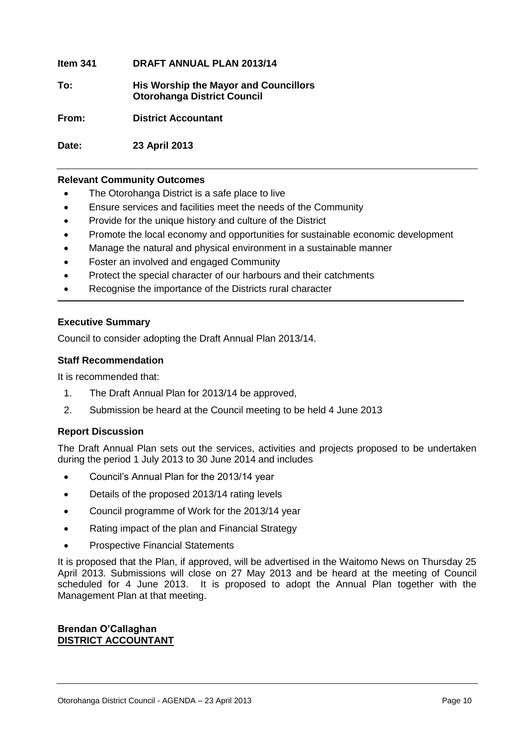**Item 341 DRAFT ANNUAL PLAN 2013/14**

**To: His Worship the Mayor and Councillors Otorohanga District Council**

**From: District Accountant**

**Date: 23 April 2013**

#### **Relevant Community Outcomes**

- The Otorohanga District is a safe place to live
- Ensure services and facilities meet the needs of the Community
- Provide for the unique history and culture of the District
- Promote the local economy and opportunities for sustainable economic development
- Manage the natural and physical environment in a sustainable manner
- Foster an involved and engaged Community
- Protect the special character of our harbours and their catchments
- Recognise the importance of the Districts rural character

#### **Executive Summary**

Council to consider adopting the Draft Annual Plan 2013/14.

#### **Staff Recommendation**

It is recommended that:

- 1. The Draft Annual Plan for 2013/14 be approved,
- 2. Submission be heard at the Council meeting to be held 4 June 2013

#### **Report Discussion**

The Draft Annual Plan sets out the services, activities and projects proposed to be undertaken during the period 1 July 2013 to 30 June 2014 and includes

- Council's Annual Plan for the 2013/14 year
- Details of the proposed 2013/14 rating levels
- Council programme of Work for the 2013/14 year
- Rating impact of the plan and Financial Strategy
- Prospective Financial Statements

It is proposed that the Plan, if approved, will be advertised in the Waitomo News on Thursday 25 April 2013. Submissions will close on 27 May 2013 and be heard at the meeting of Council scheduled for 4 June 2013. It is proposed to adopt the Annual Plan together with the Management Plan at that meeting.

#### **Brendan O'Callaghan DISTRICT ACCOUNTANT**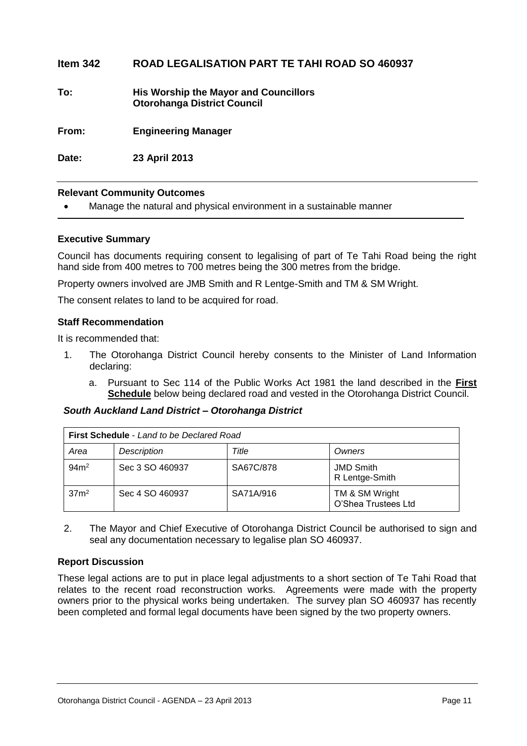#### **Item 342 ROAD LEGALISATION PART TE TAHI ROAD SO 460937**

**To: His Worship the Mayor and Councillors Otorohanga District Council**

**From: Engineering Manager**

**Date: 23 April 2013**

#### **Relevant Community Outcomes**

Manage the natural and physical environment in a sustainable manner

#### **Executive Summary**

Council has documents requiring consent to legalising of part of Te Tahi Road being the right hand side from 400 metres to 700 metres being the 300 metres from the bridge.

Property owners involved are JMB Smith and R Lentge-Smith and TM & SM Wright.

The consent relates to land to be acquired for road.

#### **Staff Recommendation**

It is recommended that:

- 1. The Otorohanga District Council hereby consents to the Minister of Land Information declaring:
	- a. Pursuant to Sec 114 of the Public Works Act 1981 the land described in the **First Schedule** below being declared road and vested in the Otorohanga District Council.

#### *South Auckland Land District – Otorohanga District*

| <b>First Schedule - Land to be Declared Road</b> |                 |           |                                       |  |
|--------------------------------------------------|-----------------|-----------|---------------------------------------|--|
| Area                                             | Description     | Title     | Owners                                |  |
| 94m <sup>2</sup>                                 | Sec 3 SO 460937 | SA67C/878 | <b>JMD Smith</b><br>R Lentge-Smith    |  |
| 37 <sup>2</sup>                                  | Sec 4 SO 460937 | SA71A/916 | TM & SM Wright<br>O'Shea Trustees Ltd |  |

2. The Mayor and Chief Executive of Otorohanga District Council be authorised to sign and seal any documentation necessary to legalise plan SO 460937.

#### **Report Discussion**

These legal actions are to put in place legal adjustments to a short section of Te Tahi Road that relates to the recent road reconstruction works. Agreements were made with the property owners prior to the physical works being undertaken. The survey plan SO 460937 has recently been completed and formal legal documents have been signed by the two property owners.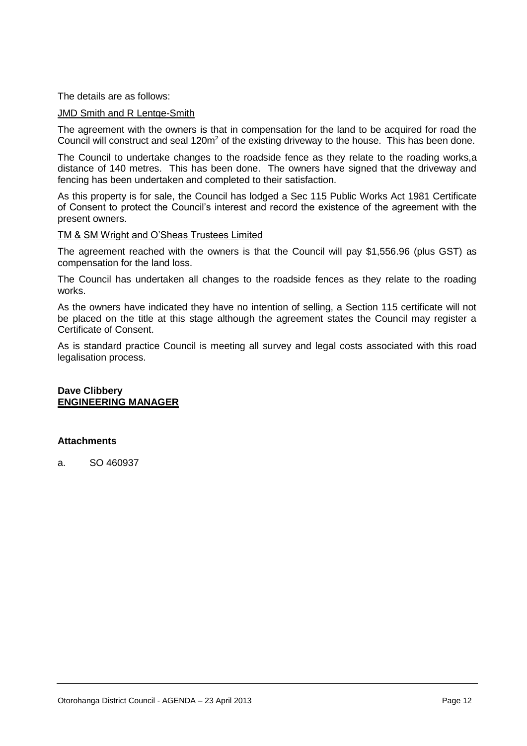The details are as follows:

#### JMD Smith and R Lentge-Smith

The agreement with the owners is that in compensation for the land to be acquired for road the Council will construct and seal 120m<sup>2</sup> of the existing driveway to the house. This has been done.

The Council to undertake changes to the roadside fence as they relate to the roading works,a distance of 140 metres. This has been done. The owners have signed that the driveway and fencing has been undertaken and completed to their satisfaction.

As this property is for sale, the Council has lodged a Sec 115 Public Works Act 1981 Certificate of Consent to protect the Council's interest and record the existence of the agreement with the present owners.

#### TM & SM Wright and O'Sheas Trustees Limited

The agreement reached with the owners is that the Council will pay \$1,556.96 (plus GST) as compensation for the land loss.

The Council has undertaken all changes to the roadside fences as they relate to the roading works.

As the owners have indicated they have no intention of selling, a Section 115 certificate will not be placed on the title at this stage although the agreement states the Council may register a Certificate of Consent.

As is standard practice Council is meeting all survey and legal costs associated with this road legalisation process.

#### **Dave Clibbery ENGINEERING MANAGER**

#### **Attachments**

a. SO 460937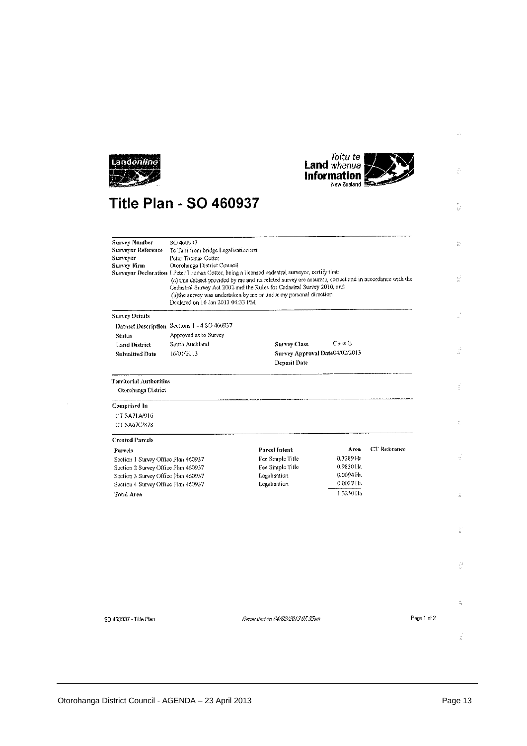



 $\hat{\mathbb{E}}$ 

 $\frac{1}{2\pi}$ 

 $\frac{1}{k^2}$ 

# **Title Plan - SO 460937**

| <b>Survey Number</b><br>Surveyor Reference<br>Surveyor<br>Survey Firm      | SO 460937<br>Te Tahi from bridge Legalisation nzt<br>Peter Thomas Cotter<br>Otorohanga District Council<br>Declared on 16 Jan 2013 04:33 PM | Surveyor Declaration I Peter Thomas Cotter, being a licensed cadastral surveyor, certify that:<br>(a) this dataset provided by me and its related survey are accurate, correct and in accordance with the<br>Cadastral Survey Act 2002 and the Rules for Cadastral Survey 2010, and<br>(b)the survey was undertaken by me or under my personal direction. |                        | n.<br>$\frac{1}{M}$ |    |
|----------------------------------------------------------------------------|---------------------------------------------------------------------------------------------------------------------------------------------|-----------------------------------------------------------------------------------------------------------------------------------------------------------------------------------------------------------------------------------------------------------------------------------------------------------------------------------------------------------|------------------------|---------------------|----|
| <b>Survey Details</b>                                                      |                                                                                                                                             |                                                                                                                                                                                                                                                                                                                                                           |                        | z,                  |    |
|                                                                            | Dataset Description Sections 1 - 4 SO 460937                                                                                                |                                                                                                                                                                                                                                                                                                                                                           |                        |                     |    |
| <b>Status</b>                                                              | Approved as to Survey                                                                                                                       |                                                                                                                                                                                                                                                                                                                                                           |                        |                     |    |
| <b>Land District</b>                                                       | South Auckland                                                                                                                              | <b>Survey Class</b>                                                                                                                                                                                                                                                                                                                                       | Class B                |                     |    |
| <b>Submitted Date</b>                                                      | 16/01/2013                                                                                                                                  | Survey Approval Date04/02/2013                                                                                                                                                                                                                                                                                                                            |                        | $\frac{1}{2\pi}$    |    |
|                                                                            |                                                                                                                                             | Deposit Date                                                                                                                                                                                                                                                                                                                                              |                        |                     |    |
| Territorial Authorities<br>Otorohanga District                             |                                                                                                                                             |                                                                                                                                                                                                                                                                                                                                                           |                        | ă.                  |    |
|                                                                            |                                                                                                                                             |                                                                                                                                                                                                                                                                                                                                                           |                        |                     |    |
| Comprised In                                                               |                                                                                                                                             |                                                                                                                                                                                                                                                                                                                                                           |                        |                     |    |
| CT SA71A/916                                                               |                                                                                                                                             |                                                                                                                                                                                                                                                                                                                                                           |                        | i.                  |    |
| CT SA67C/878                                                               |                                                                                                                                             |                                                                                                                                                                                                                                                                                                                                                           |                        |                     |    |
| <b>Created Parcels</b>                                                     |                                                                                                                                             |                                                                                                                                                                                                                                                                                                                                                           |                        |                     |    |
| Parcels                                                                    |                                                                                                                                             | Parcel Intent                                                                                                                                                                                                                                                                                                                                             | CT Reference<br>Area   |                     |    |
| Section 1 Survey Office Plan 460937                                        |                                                                                                                                             | Fee Simple Title                                                                                                                                                                                                                                                                                                                                          | 0.3289 Ha<br>0.9830 Ha | ÷                   |    |
| Section 2 Survey Office Plan 460937<br>Section 3 Survey Office Plan 460937 |                                                                                                                                             | Fee Simple Title<br>Legalisation                                                                                                                                                                                                                                                                                                                          | 0.0094 Ha              |                     |    |
| Section 4 Survey Office Plan 460937                                        |                                                                                                                                             | Legalisation                                                                                                                                                                                                                                                                                                                                              | $0.0037$ FIa           |                     |    |
| <b>Total Area</b>                                                          |                                                                                                                                             |                                                                                                                                                                                                                                                                                                                                                           | 13250 Ha               | ä                   |    |
|                                                                            |                                                                                                                                             |                                                                                                                                                                                                                                                                                                                                                           |                        |                     |    |
|                                                                            |                                                                                                                                             |                                                                                                                                                                                                                                                                                                                                                           |                        | 玉                   |    |
|                                                                            |                                                                                                                                             |                                                                                                                                                                                                                                                                                                                                                           |                        | ă                   |    |
|                                                                            |                                                                                                                                             |                                                                                                                                                                                                                                                                                                                                                           |                        |                     | t  |
| SD 460937 - Title Plan                                                     |                                                                                                                                             | Generated on 04/02/2013 07:35am                                                                                                                                                                                                                                                                                                                           |                        | Page 1 of 2         |    |
|                                                                            |                                                                                                                                             |                                                                                                                                                                                                                                                                                                                                                           |                        |                     |    |
|                                                                            |                                                                                                                                             |                                                                                                                                                                                                                                                                                                                                                           |                        |                     | ÷, |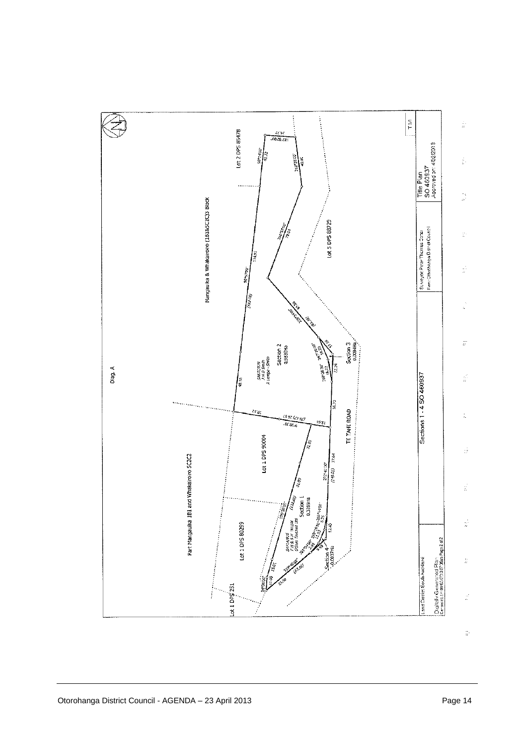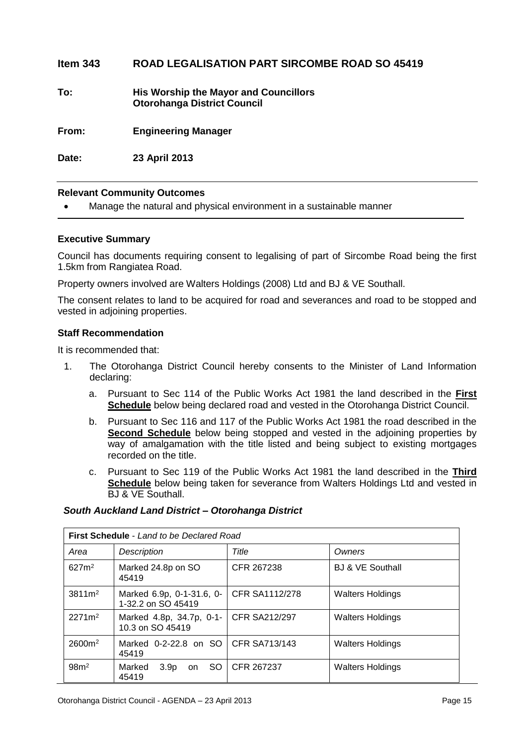#### **Item 343 ROAD LEGALISATION PART SIRCOMBE ROAD SO 45419**

**To: His Worship the Mayor and Councillors Otorohanga District Council**

**From: Engineering Manager**

**Date: 23 April 2013**

#### **Relevant Community Outcomes**

Manage the natural and physical environment in a sustainable manner

#### **Executive Summary**

Council has documents requiring consent to legalising of part of Sircombe Road being the first 1.5km from Rangiatea Road.

Property owners involved are Walters Holdings (2008) Ltd and BJ & VE Southall.

The consent relates to land to be acquired for road and severances and road to be stopped and vested in adjoining properties.

#### **Staff Recommendation**

It is recommended that:

- 1. The Otorohanga District Council hereby consents to the Minister of Land Information declaring:
	- a. Pursuant to Sec 114 of the Public Works Act 1981 the land described in the **First Schedule** below being declared road and vested in the Otorohanga District Council.
	- b. Pursuant to Sec 116 and 117 of the Public Works Act 1981 the road described in the **Second Schedule** below being stopped and vested in the adjoining properties by way of amalgamation with the title listed and being subject to existing mortgages recorded on the title.
	- c. Pursuant to Sec 119 of the Public Works Act 1981 the land described in the **Third Schedule** below being taken for severance from Walters Holdings Ltd and vested in BJ & VE Southall.

#### *South Auckland Land District – Otorohanga District*

| <b>First Schedule</b> - Land to be Declared Road |                                                   |                      |                             |  |  |
|--------------------------------------------------|---------------------------------------------------|----------------------|-----------------------------|--|--|
| Area                                             | <b>Description</b>                                | Title                | Owners                      |  |  |
| 627m <sup>2</sup>                                | Marked 24.8p on SO<br>45419                       | CFR 267238           | <b>BJ &amp; VE Southall</b> |  |  |
| $3811 \,\mathrm{m}^2$                            | Marked 6.9p, 0-1-31.6, 0-<br>1-32.2 on SO 45419   | CFR SA1112/278       | <b>Walters Holdings</b>     |  |  |
| $2271m^2$                                        | Marked 4.8p, 34.7p, 0-1-<br>10.3 on SO 45419      | <b>CFR SA212/297</b> | <b>Walters Holdings</b>     |  |  |
| $2600m^2$                                        | Marked 0-2-22.8 on SO   CFR SA713/143<br>45419    |                      | <b>Walters Holdings</b>     |  |  |
| 98m <sup>2</sup>                                 | SO.<br>Marked<br>3.9 <sub>p</sub><br>on.<br>45419 | CFR 267237           | <b>Walters Holdings</b>     |  |  |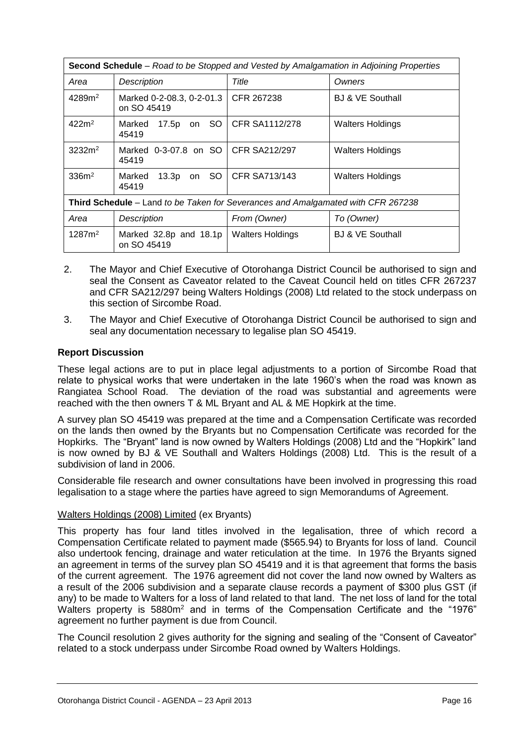| <b>Second Schedule</b> – Road to be Stopped and Vested by Amalgamation in Adjoining Properties |                                          |                         |                             |  |  |
|------------------------------------------------------------------------------------------------|------------------------------------------|-------------------------|-----------------------------|--|--|
| Area                                                                                           | Description                              | Title                   | Owners                      |  |  |
| 4289m <sup>2</sup>                                                                             | Marked 0-2-08.3, 0-2-01.3<br>on SO 45419 | CFR 267238              | <b>BJ &amp; VE Southall</b> |  |  |
| 422m <sup>2</sup>                                                                              | 17.5p on SO<br>Marked<br>45419           | CFR SA1112/278          | Walters Holdings            |  |  |
| 3232m <sup>2</sup>                                                                             | Marked 0-3-07.8 on SO<br>45419           | <b>CFR SA212/297</b>    | Walters Holdings            |  |  |
| 336m <sup>2</sup>                                                                              | -SO I<br>Marked<br>13.3p<br>on<br>45419  | <b>CFR SA713/143</b>    | Walters Holdings            |  |  |
| Third Schedule – Land to be Taken for Severances and Amalgamated with CFR 267238               |                                          |                         |                             |  |  |
| Area                                                                                           | Description                              | From (Owner)            | To (Owner)                  |  |  |
| 1287m <sup>2</sup>                                                                             | Marked 32.8p and 18.1p<br>on SO 45419    | <b>Walters Holdings</b> | <b>BJ &amp; VE Southall</b> |  |  |

- 2. The Mayor and Chief Executive of Otorohanga District Council be authorised to sign and seal the Consent as Caveator related to the Caveat Council held on titles CFR 267237 and CFR SA212/297 being Walters Holdings (2008) Ltd related to the stock underpass on this section of Sircombe Road.
- 3. The Mayor and Chief Executive of Otorohanga District Council be authorised to sign and seal any documentation necessary to legalise plan SO 45419.

#### **Report Discussion**

These legal actions are to put in place legal adjustments to a portion of Sircombe Road that relate to physical works that were undertaken in the late 1960's when the road was known as Rangiatea School Road. The deviation of the road was substantial and agreements were reached with the then owners T & ML Bryant and AL & ME Hopkirk at the time.

A survey plan SO 45419 was prepared at the time and a Compensation Certificate was recorded on the lands then owned by the Bryants but no Compensation Certificate was recorded for the Hopkirks. The "Bryant" land is now owned by Walters Holdings (2008) Ltd and the "Hopkirk" land is now owned by BJ & VE Southall and Walters Holdings (2008) Ltd. This is the result of a subdivision of land in 2006.

Considerable file research and owner consultations have been involved in progressing this road legalisation to a stage where the parties have agreed to sign Memorandums of Agreement.

#### Walters Holdings (2008) Limited (ex Bryants)

This property has four land titles involved in the legalisation, three of which record a Compensation Certificate related to payment made (\$565.94) to Bryants for loss of land. Council also undertook fencing, drainage and water reticulation at the time. In 1976 the Bryants signed an agreement in terms of the survey plan SO 45419 and it is that agreement that forms the basis of the current agreement. The 1976 agreement did not cover the land now owned by Walters as a result of the 2006 subdivision and a separate clause records a payment of \$300 plus GST (if any) to be made to Walters for a loss of land related to that land. The net loss of land for the total Walters property is 5880m<sup>2</sup> and in terms of the Compensation Certificate and the "1976" agreement no further payment is due from Council.

The Council resolution 2 gives authority for the signing and sealing of the "Consent of Caveator" related to a stock underpass under Sircombe Road owned by Walters Holdings.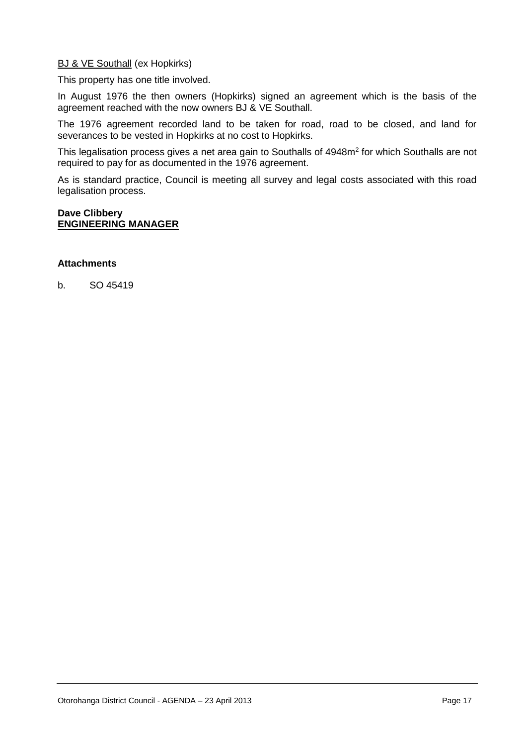#### **BJ & VE Southall (ex Hopkirks)**

This property has one title involved.

In August 1976 the then owners (Hopkirks) signed an agreement which is the basis of the agreement reached with the now owners BJ & VE Southall.

The 1976 agreement recorded land to be taken for road, road to be closed, and land for severances to be vested in Hopkirks at no cost to Hopkirks.

This legalisation process gives a net area gain to Southalls of 4948m<sup>2</sup> for which Southalls are not required to pay for as documented in the 1976 agreement.

As is standard practice, Council is meeting all survey and legal costs associated with this road legalisation process.

#### **Dave Clibbery ENGINEERING MANAGER**

#### **Attachments**

b. SO 45419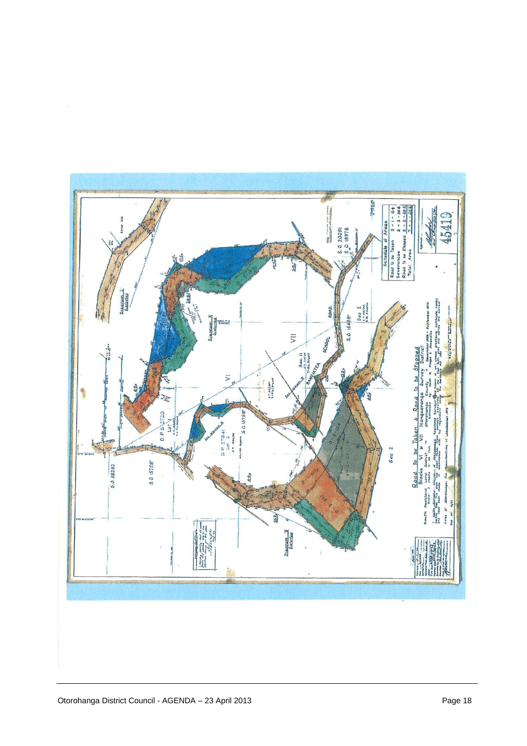

 $\tilde{\mathcal{A}}$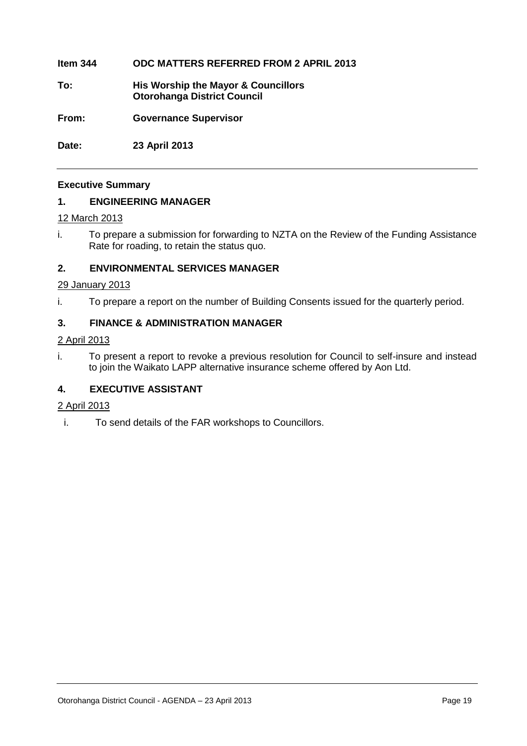#### **Item 344 ODC MATTERS REFERRED FROM 2 APRIL 2013**

- **To: His Worship the Mayor & Councillors Otorohanga District Council**
- **From: Governance Supervisor**

**Date: 23 April 2013**

#### **Executive Summary**

#### **1. ENGINEERING MANAGER**

#### 12 March 2013

i. To prepare a submission for forwarding to NZTA on the Review of the Funding Assistance Rate for roading, to retain the status quo.

#### **2. ENVIRONMENTAL SERVICES MANAGER**

#### 29 January 2013

i. To prepare a report on the number of Building Consents issued for the quarterly period.

#### **3. FINANCE & ADMINISTRATION MANAGER**

#### 2 April 2013

i. To present a report to revoke a previous resolution for Council to self-insure and instead to join the Waikato LAPP alternative insurance scheme offered by Aon Ltd.

#### **4. EXECUTIVE ASSISTANT**

#### 2 April 2013

i. To send details of the FAR workshops to Councillors.